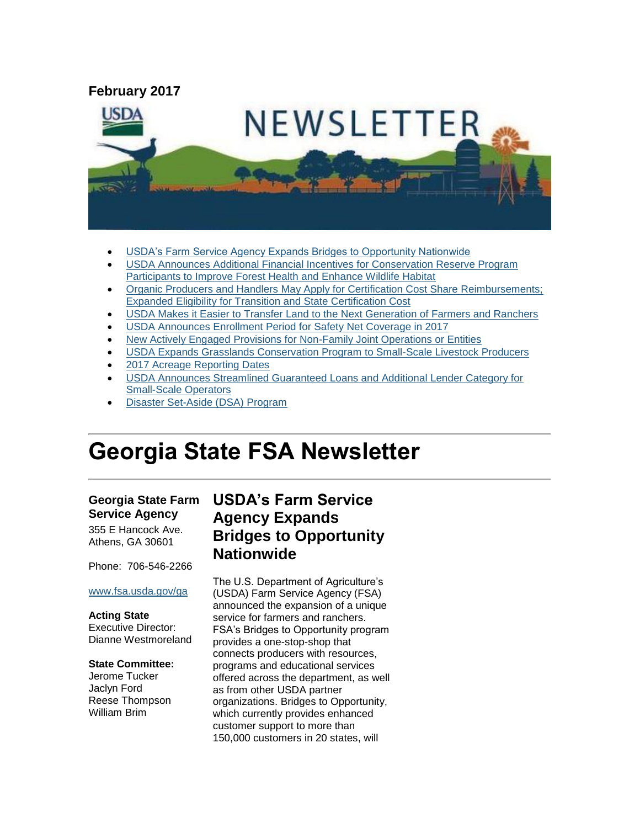

- [USDA's Farm Service Agency Expands Bridges to Opportunity Nationwide](#page-0-0)
- [USDA Announces Additional Financial Incentives for Conservation Reserve Program](#page-2-0)  [Participants to Improve Forest Health and Enhance Wildlife Habitat](#page-2-0)
- [Organic Producers and Handlers May Apply for Certification Cost Share Reimbursements;](#page-2-1)  [Expanded Eligibility for Transition and State Certification Cost](#page-2-1)
- [USDA Makes it Easier to Transfer Land to the Next Generation of Farmers and Ranchers](#page-3-0)
- [USDA Announces Enrollment Period for Safety](#page-3-1) Net Coverage in 2017
- [New Actively Engaged Provisions for Non-Family Joint Operations or Entities](#page-4-0)
- [USDA Expands Grasslands Conservation Program to Small-Scale Livestock Producers](#page-5-0)
- [2017 Acreage Reporting Dates](#page-5-1)
- [USDA Announces Streamlined Guaranteed Loans and Additional Lender Category for](#page-6-0)  [Small-Scale Operators](#page-6-0)
- [Disaster Set-Aside \(DSA\) Program](#page-6-1)

# **Georgia State FSA Newsletter**

### **Georgia State Farm Service Agency**

355 E Hancock Ave. Athens, GA 30601

Phone: 706-546-2266

### [www.fsa.usda.gov/ga](http://www.fsa.usda.gov/ga)

#### **Acting State**

Executive Director: Dianne Westmoreland

#### **State Committee:**

Jerome Tucker Jaclyn Ford Reese Thompson William Brim

# <span id="page-0-0"></span>**USDA's Farm Service Agency Expands Bridges to Opportunity Nationwide**

The U.S. Department of Agriculture's (USDA) Farm Service Agency (FSA) announced the expansion of a unique service for farmers and ranchers. FSA's Bridges to Opportunity program provides a one-stop-shop that connects producers with resources, programs and educational services offered across the department, as well as from other USDA partner organizations. Bridges to Opportunity, which currently provides enhanced customer support to more than 150,000 customers in 20 states, will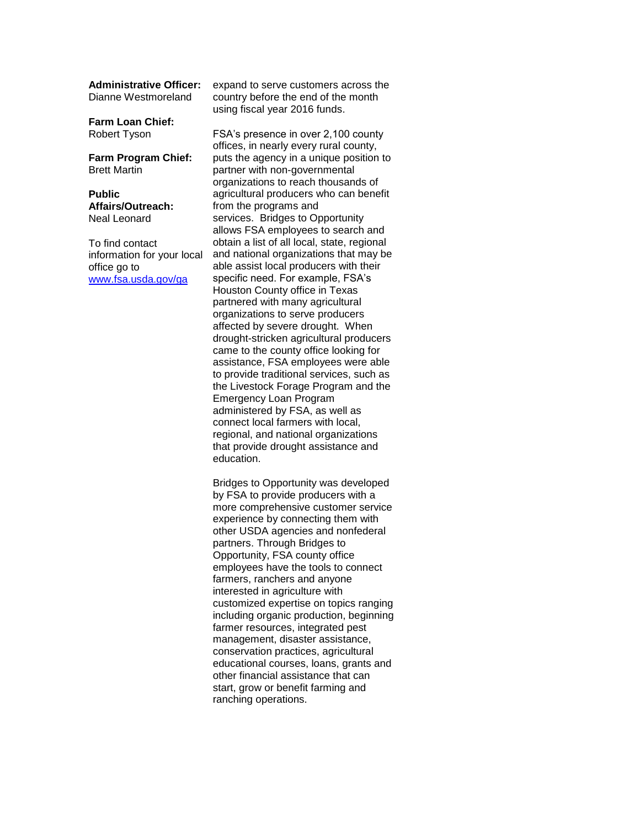**Administrative Officer:** Dianne Westmoreland

**Farm Loan Chief:** Robert Tyson

**Farm Program Chief:** Brett Martin

**Public Affairs/Outreach:** Neal Leonard

To find contact information for your local office go to [www.fsa.usda.gov/ga](http://www.fsa.usda.gov/ga)

expand to serve customers across the country before the end of the month using fiscal year 2016 funds.

FSA's presence in over 2,100 county offices, in nearly every rural county, puts the agency in a unique position to partner with non-governmental organizations to reach thousands of agricultural producers who can benefit from the programs and services. Bridges to Opportunity allows FSA employees to search and obtain a list of all local, state, regional and national organizations that may be able assist local producers with their specific need. For example, FSA's Houston County office in Texas partnered with many agricultural organizations to serve producers affected by severe drought. When drought-stricken agricultural producers came to the county office looking for assistance, FSA employees were able to provide traditional services, such as the Livestock Forage Program and the Emergency Loan Program administered by FSA, as well as connect local farmers with local, regional, and national organizations that provide drought assistance and education.

Bridges to Opportunity was developed by FSA to provide producers with a more comprehensive customer service experience by connecting them with other USDA agencies and nonfederal partners. Through Bridges to Opportunity, FSA county office employees have the tools to connect farmers, ranchers and anyone interested in agriculture with customized expertise on topics ranging including organic production, beginning farmer resources, integrated pest management, disaster assistance, conservation practices, agricultural educational courses, loans, grants and other financial assistance that can start, grow or benefit farming and ranching operations.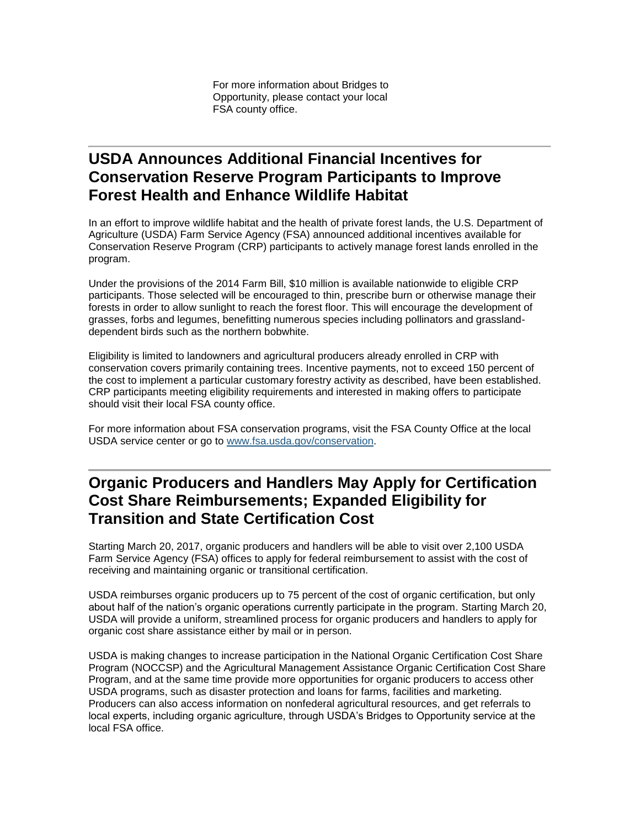For more information about Bridges to Opportunity, please contact your local FSA county office.

### <span id="page-2-0"></span>**USDA Announces Additional Financial Incentives for Conservation Reserve Program Participants to Improve Forest Health and Enhance Wildlife Habitat**

In an effort to improve wildlife habitat and the health of private forest lands, the U.S. Department of Agriculture (USDA) Farm Service Agency (FSA) announced additional incentives available for Conservation Reserve Program (CRP) participants to actively manage forest lands enrolled in the program.

Under the provisions of the 2014 Farm Bill, \$10 million is available nationwide to eligible CRP participants. Those selected will be encouraged to thin, prescribe burn or otherwise manage their forests in order to allow sunlight to reach the forest floor. This will encourage the development of grasses, forbs and legumes, benefitting numerous species including pollinators and grasslanddependent birds such as the northern bobwhite.

Eligibility is limited to landowners and agricultural producers already enrolled in CRP with conservation covers primarily containing trees. Incentive payments, not to exceed 150 percent of the cost to implement a particular customary forestry activity as described, have been established. CRP participants meeting eligibility requirements and interested in making offers to participate should visit their local FSA county office.

For more information about FSA conservation programs, visit the FSA County Office at the local USDA service center or go to [www.fsa.usda.gov/conservation.](http://www.fsa.usda.gov/conservation)

# <span id="page-2-1"></span>**Organic Producers and Handlers May Apply for Certification Cost Share Reimbursements; Expanded Eligibility for Transition and State Certification Cost**

Starting March 20, 2017, organic producers and handlers will be able to visit over 2,100 USDA Farm Service Agency (FSA) offices to apply for federal reimbursement to assist with the cost of receiving and maintaining organic or transitional certification.

USDA reimburses organic producers up to 75 percent of the cost of organic certification, but only about half of the nation's organic operations currently participate in the program. Starting March 20, USDA will provide a uniform, streamlined process for organic producers and handlers to apply for organic cost share assistance either by mail or in person.

USDA is making changes to increase participation in the National Organic Certification Cost Share Program (NOCCSP) and the Agricultural Management Assistance Organic Certification Cost Share Program, and at the same time provide more opportunities for organic producers to access other USDA programs, such as disaster protection and loans for farms, facilities and marketing. Producers can also access information on nonfederal agricultural resources, and get referrals to local experts, including organic agriculture, through USDA's Bridges to Opportunity service at the local FSA office.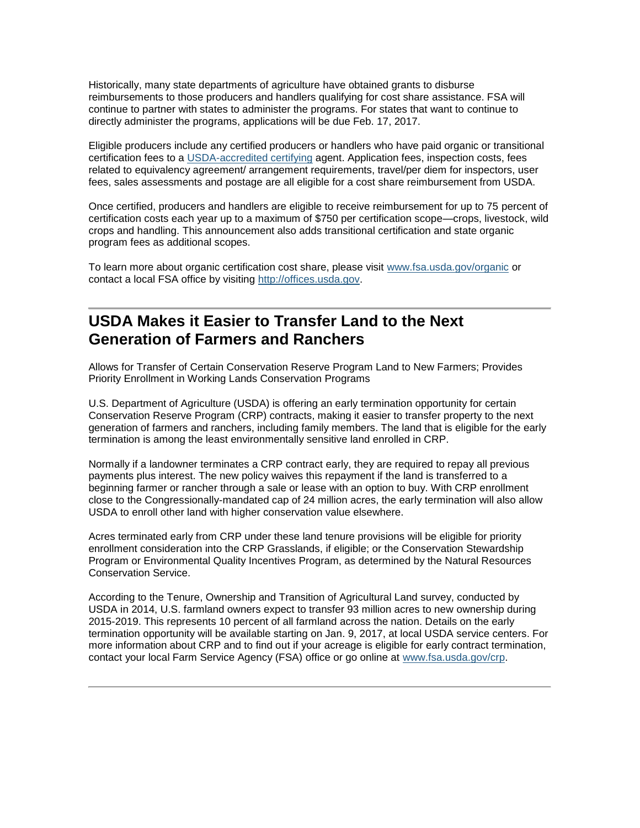Historically, many state departments of agriculture have obtained grants to disburse reimbursements to those producers and handlers qualifying for cost share assistance. FSA will continue to partner with states to administer the programs. For states that want to continue to directly administer the programs, applications will be due Feb. 17, 2017.

Eligible producers include any certified producers or handlers who have paid organic or transitional certification fees to a [USDA-accredited certifying](https://www.ams.usda.gov/services/organic-certification/certifying-agents) agent. Application fees, inspection costs, fees related to equivalency agreement/ arrangement requirements, travel/per diem for inspectors, user fees, sales assessments and postage are all eligible for a cost share reimbursement from USDA.

Once certified, producers and handlers are eligible to receive reimbursement for up to 75 percent of certification costs each year up to a maximum of \$750 per certification scope—crops, livestock, wild crops and handling. This announcement also adds transitional certification and state organic program fees as additional scopes.

To learn more about organic certification cost share, please visit [www.fsa.usda.gov/organic](https://www.fsa.usda.gov/programs-and-services/outreach-and-education/help-for-organic-farming/index) or contact a local FSA office by visiting [http://offices.usda.gov.](https://offices.sc.egov.usda.gov/locator/app)

### <span id="page-3-0"></span>**USDA Makes it Easier to Transfer Land to the Next Generation of Farmers and Ranchers**

Allows for Transfer of Certain Conservation Reserve Program Land to New Farmers; Provides Priority Enrollment in Working Lands Conservation Programs

U.S. Department of Agriculture (USDA) is offering an early termination opportunity for certain Conservation Reserve Program (CRP) contracts, making it easier to transfer property to the next generation of farmers and ranchers, including family members. The land that is eligible for the early termination is among the least environmentally sensitive land enrolled in CRP.

Normally if a landowner terminates a CRP contract early, they are required to repay all previous payments plus interest. The new policy waives this repayment if the land is transferred to a beginning farmer or rancher through a sale or lease with an option to buy. With CRP enrollment close to the Congressionally-mandated cap of 24 million acres, the early termination will also allow USDA to enroll other land with higher conservation value elsewhere.

Acres terminated early from CRP under these land tenure provisions will be eligible for priority enrollment consideration into the CRP Grasslands, if eligible; or the Conservation Stewardship Program or Environmental Quality Incentives Program, as determined by the Natural Resources Conservation Service.

<span id="page-3-1"></span>According to the Tenure, Ownership and Transition of Agricultural Land survey, conducted by USDA in 2014, U.S. farmland owners expect to transfer 93 million acres to new ownership during 2015-2019. This represents 10 percent of all farmland across the nation. Details on the early termination opportunity will be available starting on Jan. 9, 2017, at local USDA service centers. For more information about CRP and to find out if your acreage is eligible for early contract termination, contact your local Farm Service Agency (FSA) office or go online at [www.fsa.usda.gov/crp.](http://www.fsa.usda.gov/crp)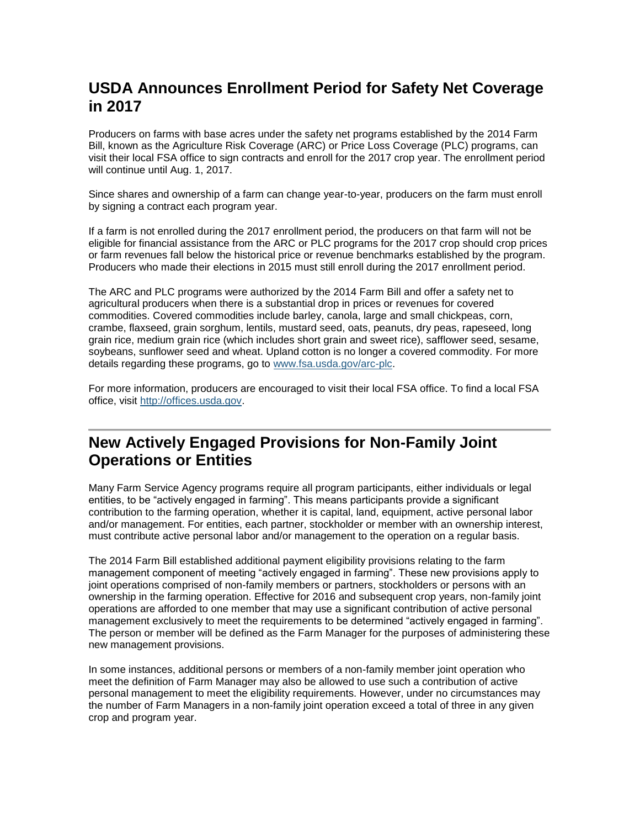# **USDA Announces Enrollment Period for Safety Net Coverage in 2017**

Producers on farms with base acres under the safety net programs established by the 2014 Farm Bill, known as the Agriculture Risk Coverage (ARC) or Price Loss Coverage (PLC) programs, can visit their local FSA office to sign contracts and enroll for the 2017 crop year. The enrollment period will continue until Aug. 1, 2017.

Since shares and ownership of a farm can change year-to-year, producers on the farm must enroll by signing a contract each program year.

If a farm is not enrolled during the 2017 enrollment period, the producers on that farm will not be eligible for financial assistance from the ARC or PLC programs for the 2017 crop should crop prices or farm revenues fall below the historical price or revenue benchmarks established by the program. Producers who made their elections in 2015 must still enroll during the 2017 enrollment period.

The ARC and PLC programs were authorized by the 2014 Farm Bill and offer a safety net to agricultural producers when there is a substantial drop in prices or revenues for covered commodities. Covered commodities include barley, canola, large and small chickpeas, corn, crambe, flaxseed, grain sorghum, lentils, mustard seed, oats, peanuts, dry peas, rapeseed, long grain rice, medium grain rice (which includes short grain and sweet rice), safflower seed, sesame, soybeans, sunflower seed and wheat. Upland cotton is no longer a covered commodity. For more details regarding these programs, go to [www.fsa.usda.gov/arc-plc.](http://www.fsa.usda.gov/arc-plc)

For more information, producers are encouraged to visit their local FSA office. To find a local FSA office, visit [http://offices.usda.gov.](http://offices.usda.gov/)

# <span id="page-4-0"></span>**New Actively Engaged Provisions for Non-Family Joint Operations or Entities**

Many Farm Service Agency programs require all program participants, either individuals or legal entities, to be "actively engaged in farming". This means participants provide a significant contribution to the farming operation, whether it is capital, land, equipment, active personal labor and/or management. For entities, each partner, stockholder or member with an ownership interest, must contribute active personal labor and/or management to the operation on a regular basis.

The 2014 Farm Bill established additional payment eligibility provisions relating to the farm management component of meeting "actively engaged in farming". These new provisions apply to joint operations comprised of non-family members or partners, stockholders or persons with an ownership in the farming operation. Effective for 2016 and subsequent crop years, non-family joint operations are afforded to one member that may use a significant contribution of active personal management exclusively to meet the requirements to be determined "actively engaged in farming". The person or member will be defined as the Farm Manager for the purposes of administering these new management provisions.

In some instances, additional persons or members of a non-family member joint operation who meet the definition of Farm Manager may also be allowed to use such a contribution of active personal management to meet the eligibility requirements. However, under no circumstances may the number of Farm Managers in a non-family joint operation exceed a total of three in any given crop and program year.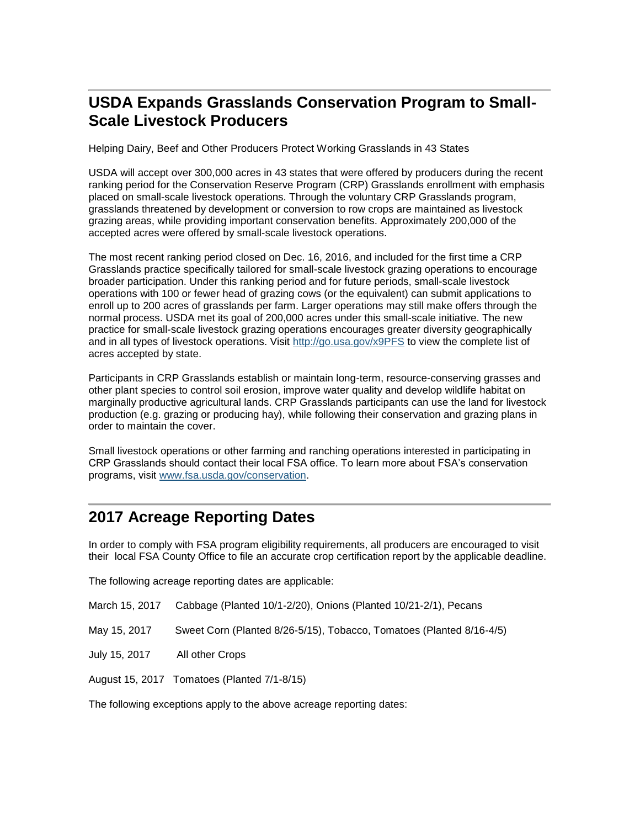# <span id="page-5-0"></span>**USDA Expands Grasslands Conservation Program to Small-Scale Livestock Producers**

Helping Dairy, Beef and Other Producers Protect Working Grasslands in 43 States

USDA will accept over 300,000 acres in 43 states that were offered by producers during the recent ranking period for the Conservation Reserve Program (CRP) Grasslands enrollment with emphasis placed on small-scale livestock operations. Through the voluntary CRP Grasslands program, grasslands threatened by development or conversion to row crops are maintained as livestock grazing areas, while providing important conservation benefits. Approximately 200,000 of the accepted acres were offered by small-scale livestock operations.

The most recent ranking period closed on Dec. 16, 2016, and included for the first time a CRP Grasslands practice specifically tailored for small-scale livestock grazing operations to encourage broader participation. Under this ranking period and for future periods, small-scale livestock operations with 100 or fewer head of grazing cows (or the equivalent) can submit applications to enroll up to 200 acres of grasslands per farm. Larger operations may still make offers through the normal process. USDA met its goal of 200,000 acres under this small-scale initiative. The new practice for small-scale livestock grazing operations encourages greater diversity geographically and in all types of livestock operations. Visit<http://go.usa.gov/x9PFS> to view the complete list of acres accepted by state.

Participants in CRP Grasslands establish or maintain long-term, resource-conserving grasses and other plant species to control soil erosion, improve water quality and develop wildlife habitat on marginally productive agricultural lands. CRP Grasslands participants can use the land for livestock production (e.g. grazing or producing hay), while following their conservation and grazing plans in order to maintain the cover.

Small livestock operations or other farming and ranching operations interested in participating in CRP Grasslands should contact their local FSA office. To learn more about FSA's conservation programs, visit [www.fsa.usda.gov/conservation.](http://www.fsa.usda.gov/conservation)

# <span id="page-5-1"></span>**2017 Acreage Reporting Dates**

In order to comply with FSA program eligibility requirements, all producers are encouraged to visit their local FSA County Office to file an accurate crop certification report by the applicable deadline.

The following acreage reporting dates are applicable:

| March 15, 2017 Cabbage (Planted 10/1-2/20), Onions (Planted 10/21-2/1), Pecans |  |  |  |  |  |  |
|--------------------------------------------------------------------------------|--|--|--|--|--|--|
|--------------------------------------------------------------------------------|--|--|--|--|--|--|

- May 15, 2017 Sweet Corn (Planted 8/26-5/15), Tobacco, Tomatoes (Planted 8/16-4/5)
- July 15, 2017 All other Crops

August 15, 2017 Tomatoes (Planted 7/1-8/15)

The following exceptions apply to the above acreage reporting dates: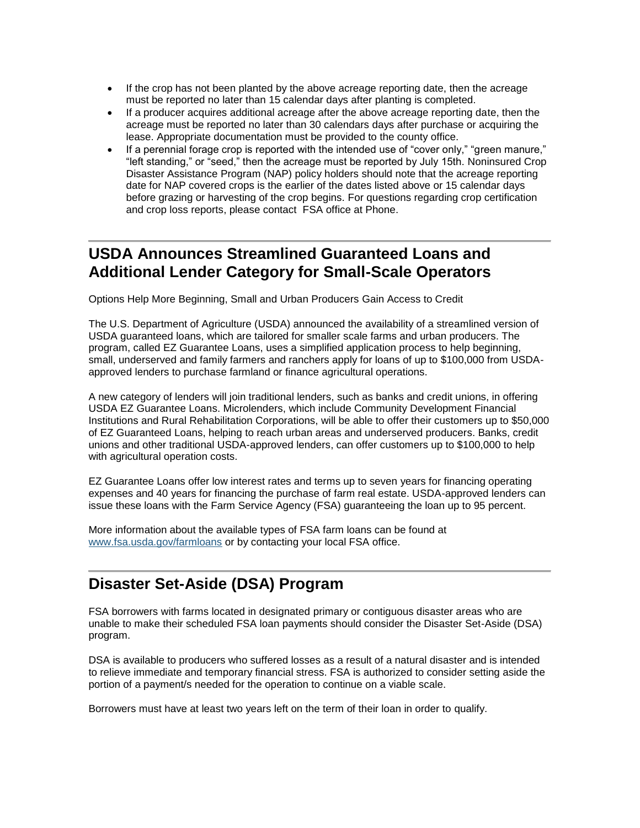- If the crop has not been planted by the above acreage reporting date, then the acreage must be reported no later than 15 calendar days after planting is completed.
- If a producer acquires additional acreage after the above acreage reporting date, then the acreage must be reported no later than 30 calendars days after purchase or acquiring the lease. Appropriate documentation must be provided to the county office.
- If a perennial forage crop is reported with the intended use of "cover only," "green manure," "left standing," or "seed," then the acreage must be reported by July 15th. Noninsured Crop Disaster Assistance Program (NAP) policy holders should note that the acreage reporting date for NAP covered crops is the earlier of the dates listed above or 15 calendar days before grazing or harvesting of the crop begins. For questions regarding crop certification and crop loss reports, please contact FSA office at Phone.

# <span id="page-6-0"></span>**USDA Announces Streamlined Guaranteed Loans and Additional Lender Category for Small-Scale Operators**

Options Help More Beginning, Small and Urban Producers Gain Access to Credit

The U.S. Department of Agriculture (USDA) announced the availability of a streamlined version of USDA guaranteed loans, which are tailored for smaller scale farms and urban producers. The program, called EZ Guarantee Loans, uses a simplified application process to help beginning, small, underserved and family farmers and ranchers apply for loans of up to \$100,000 from USDAapproved lenders to purchase farmland or finance agricultural operations.

A new category of lenders will join traditional lenders, such as banks and credit unions, in offering USDA EZ Guarantee Loans. Microlenders, which include Community Development Financial Institutions and Rural Rehabilitation Corporations, will be able to offer their customers up to \$50,000 of EZ Guaranteed Loans, helping to reach urban areas and underserved producers. Banks, credit unions and other traditional USDA-approved lenders, can offer customers up to \$100,000 to help with agricultural operation costs.

EZ Guarantee Loans offer low interest rates and terms up to seven years for financing operating expenses and 40 years for financing the purchase of farm real estate. USDA-approved lenders can issue these loans with the Farm Service Agency (FSA) guaranteeing the loan up to 95 percent.

More information about the available types of FSA farm loans can be found at [www.fsa.usda.gov/farmloans](http://www.fsa.usda.gov/programs-and-services/farm-loan-programs/index) or by contacting your local FSA office.

# <span id="page-6-1"></span>**Disaster Set-Aside (DSA) Program**

FSA borrowers with farms located in designated primary or contiguous disaster areas who are unable to make their scheduled FSA loan payments should consider the Disaster Set-Aside (DSA) program.

DSA is available to producers who suffered losses as a result of a natural disaster and is intended to relieve immediate and temporary financial stress. FSA is authorized to consider setting aside the portion of a payment/s needed for the operation to continue on a viable scale.

Borrowers must have at least two years left on the term of their loan in order to qualify.